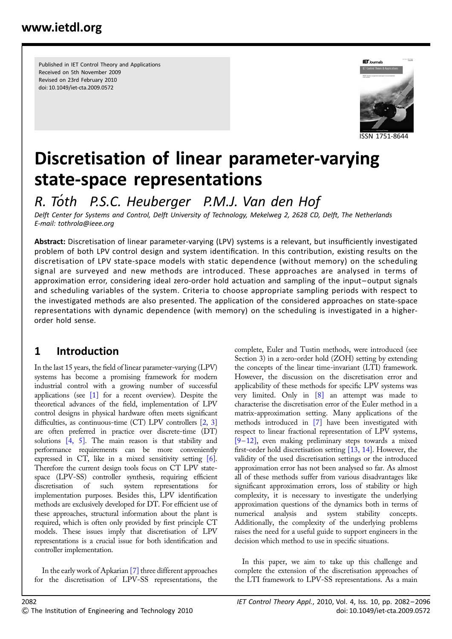Published in IET Control Theory and Applications Received on 5th November 2009 Revised on 23rd February 2010 doi: 10.1049/iet-cta.2009.0572



# Discretisation of linear parameter-varying state-space representations

R. Toth P.S.C. Heuberger P.M.J. Van den Hof

Delft Center for Systems and Control, Delft University of Technology, Mekelweg 2, 2628 CD, Delft, The Netherlands E-mail: tothrola@ieee.org

Abstract: Discretisation of linear parameter-varying (LPV) systems is a relevant, but insufficiently investigated problem of both LPV control design and system identification. In this contribution, existing results on the discretisation of LPV state-space models with static dependence (without memory) on the scheduling signal are surveyed and new methods are introduced. These approaches are analysed in terms of approximation error, considering ideal zero-order hold actuation and sampling of the input–output signals and scheduling variables of the system. Criteria to choose appropriate sampling periods with respect to the investigated methods are also presented. The application of the considered approaches on state-space representations with dynamic dependence (with memory) on the scheduling is investigated in a higherorder hold sense.

# 1 Introduction

In the last 15 years, the field of linear parameter-varying (LPV) systems has become a promising framework for modern industrial control with a growing number of successful applications (see  $[1]$  for a recent overview). Despite the theoretical advances of the field, implementation of LPV control designs in physical hardware often meets significant difficulties, as continuous-time (CT) LPV controllers [2, 3] are often preferred in practice over discrete-time (DT) solutions [4, 5]. The main reason is that stability and performance requirements can be more conveniently expressed in CT, like in a mixed sensitivity setting [6]. Therefore the current design tools focus on CT LPV statespace (LPV-SS) controller synthesis, requiring efficient discretisation of such system representations for implementation purposes. Besides this, LPV identification methods are exclusively developed for DT. For efficient use of these approaches, structural information about the plant is required, which is often only provided by first principle CT models. These issues imply that discretisation of LPV representations is a crucial issue for both identification and controller implementation.

In the early work of Apkarian [7] three different approaches for the discretisation of LPV-SS representations, the complete, Euler and Tustin methods, were introduced (see Section 3) in a zero-order hold (ZOH) setting by extending the concepts of the linear time-invariant (LTI) framework. However, the discussion on the discretisation error and applicability of these methods for specific LPV systems was very limited. Only in [8] an attempt was made to characterise the discretisation error of the Euler method in a matrix-approximation setting. Many applications of the methods introduced in [7] have been investigated with respect to linear fractional representation of LPV systems,  $[9-12]$ , even making preliminary steps towards a mixed first-order hold discretisation setting [13, 14]. However, the validity of the used discretisation settings or the introduced approximation error has not been analysed so far. As almost all of these methods suffer from various disadvantages like significant approximation errors, loss of stability or high complexity, it is necessary to investigate the underlying approximation questions of the dynamics both in terms of numerical analysis and system stability concepts. Additionally, the complexity of the underlying problems raises the need for a useful guide to support engineers in the decision which method to use in specific situations.

In this paper, we aim to take up this challenge and complete the extension of the discretisation approaches of the LTI framework to LPV-SS representations. As a main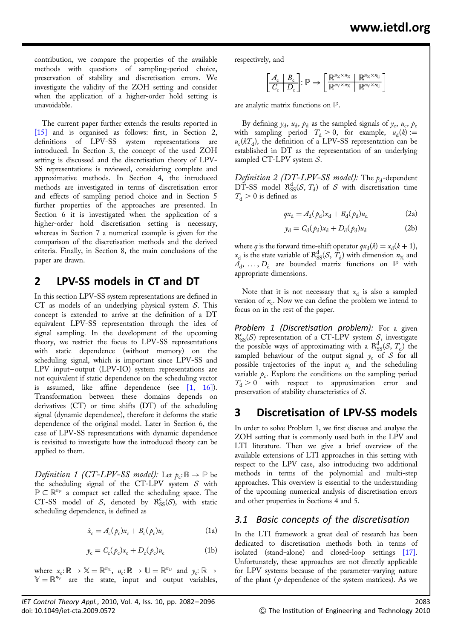contribution, we compare the properties of the available methods with questions of sampling-period choice, preservation of stability and discretisation errors. We investigate the validity of the ZOH setting and consider when the application of a higher-order hold setting is unavoidable.

The current paper further extends the results reported in [15] and is organised as follows: first, in Section 2, definitions of LPV-SS system representations are introduced. In Section 3, the concept of the used ZOH setting is discussed and the discretisation theory of LPV-SS representations is reviewed, considering complete and approximative methods. In Section 4, the introduced methods are investigated in terms of discretisation error and effects of sampling period choice and in Section 5 further properties of the approaches are presented. In Section 6 it is investigated when the application of a higher-order hold discretisation setting is necessary, whereas in Section 7 a numerical example is given for the comparison of the discretisation methods and the derived criteria. Finally, in Section 8, the main conclusions of the paper are drawn.

# 2 LPV-SS models in CT and DT

In this section LPV-SS system representations are defined in CT as models of an underlying physical system  $S$ . This concept is extended to arrive at the definition of a DT equivalent LPV-SS representation through the idea of signal sampling. In the development of the upcoming theory, we restrict the focus to LPV-SS representations with static dependence (without memory) on the scheduling signal, which is important since LPV-SS and LPV input-output (LPV-IO) system representations are not equivalent if static dependence on the scheduling vector is assumed, like affine dependence (see [1, 16]). Transformation between these domains depends on derivatives (CT) or time shifts (DT) of the scheduling signal (dynamic dependence), therefore it deforms the static dependence of the original model. Later in Section 6, the case of LPV-SS representations with dynamic dependence is revisited to investigate how the introduced theory can be applied to them.

Definition 1 (CT-LPV-SS model): Let  $p_c: \mathbb{R} \to \mathbb{P}$  be the scheduling signal of the CT-LPV system  $S$  with  $\mathbb{P} \subset \mathbb{R}^{n_{\mathbb{P}}}$  a compact set called the scheduling space. The CT-SS model of S, denoted by  $\mathcal{R}_{SS}^c(\mathcal{S})$ , with static scheduling dependence, is defined as

$$
\dot{x}_{\rm c} = A_{\rm c}(\rho_{\rm c})x_{\rm c} + B_{\rm c}(\rho_{\rm c})u_{\rm c} \tag{1a}
$$

$$
y_{\rm c} = C_{\rm c}(p_{\rm c})x_{\rm c} + D_{\rm c}(p_{\rm c})u_{\rm c}
$$
 (1b)

where  $x_c: \mathbb{R} \to \mathbb{X} = \mathbb{R}^{n_{\mathbb{X}}}, u_c: \mathbb{R} \to \mathbb{U} = \mathbb{R}^{n_{\mathbb{U}}}$  and  $y_c: \mathbb{R} \to$  $\mathbb{Y} = \mathbb{R}^{n_{\mathbb{Y}}}$  are the state, input and output variables, respectively, and

$$
\begin{bmatrix}\n\mathbf{A}_{\mathrm{c}} & \mathbf{B}_{\mathrm{c}} \\
\hline\n\mathbf{C}_{\mathrm{c}} & \mathbf{D}_{\mathrm{c}}\n\end{bmatrix}: \mathbb{P} \rightarrow \begin{bmatrix}\n\mathbb{R}^{n_{\mathrm{X}} \times n_{\mathrm{X}}}\n\quad\n\mathbb{R}^{n_{\mathrm{X}} \times n_{\mathrm{U}}}\n\end{bmatrix}
$$

are analytic matrix functions on P.

By defining  $y_d$ ,  $u_d$ ,  $p_d$  as the sampled signals of  $y_c$ ,  $u_c$ ,  $p_c$ with sampling period  $T_d > 0$ , for example,  $u_d(k) :=$  $u_c(kT_d)$ , the definition of a LPV-SS representation can be established in DT as the representation of an underlying sampled CT-LPV system  $S$ .

Definition 2 (DT-LPV-SS model): The  $p_d$ -dependent  $D\check{T}$ -SS model  $\mathcal{R}_{SS}^d(\mathcal{S}, T_d)$  of  $\mathcal S$  with discretisation time  $T<sub>A</sub> > 0$  is defined as

$$
qx_{\rm d} = A_{\rm d}(p_{\rm d})x_{\rm d} + B_{\rm d}(p_{\rm d})u_{\rm d} \tag{2a}
$$

$$
y_d = C_d(\rho_d)x_d + D_d(\rho_d)u_d \tag{2b}
$$

where q is the forward time-shift operator  $qx_d(k) = x_d(k + 1)$ ,  $x_d$  is the state variable of  $R^d_{SS}(S, T_d)$  with dimension  $n_\chi$  and  $A_d$ , ...,  $D_d$  are bounded matrix functions on  $\mathbb P$  with appropriate dimensions.

Note that it is not necessary that  $x_d$  is also a sampled version of  $x_c$ . Now we can define the problem we intend to focus on in the rest of the paper.

Problem 1 (Discretisation problem): For a given  $R_{SS}^c(\mathcal{S})$  representation of a CT-LPV system  $\mathcal{S}$ , investigate the possible ways of approximating with a  $R^d_{SS}(S, T_d)$  the sampled behaviour of the output signal  $y_c$  of S for all possible trajectories of the input  $u_c$  and the scheduling variable  $p_c$ . Explore the conditions on the sampling period  $T_d > 0$  with respect to approximation error and preservation of stability characteristics of S.

# 3 Discretisation of LPV-SS models

In order to solve Problem 1, we first discuss and analyse the ZOH setting that is commonly used both in the LPV and LTI literature. Then we give a brief overview of the available extensions of LTI approaches in this setting with respect to the LPV case, also introducing two additional methods in terms of the polynomial and multi-step approaches. This overview is essential to the understanding of the upcoming numerical analysis of discretisation errors and other properties in Sections 4 and 5.

## 3.1 Basic concepts of the discretisation

In the LTI framework a great deal of research has been dedicated to discretisation methods both in terms of isolated (stand-alone) and closed-loop settings [17]. Unfortunately, these approaches are not directly applicable for LPV systems because of the parameter-varying nature of the plant ( $p$ -dependence of the system matrices). As we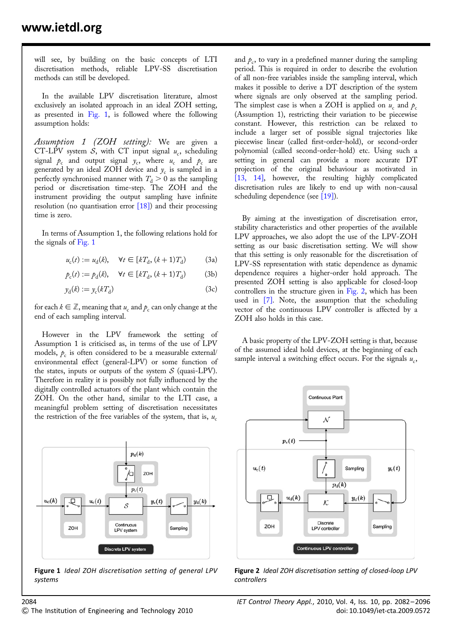will see, by building on the basic concepts of LTI discretisation methods, reliable LPV-SS discretisation methods can still be developed.

In the available LPV discretisation literature, almost exclusively an isolated approach in an ideal ZOH setting, as presented in Fig. 1, is followed where the following assumption holds:

Assumption 1 (ZOH setting): We are given a CT-LPV system S, with CT input signal  $u_c$ , scheduling signal  $p_c$  and output signal  $y_c$ , where  $u_c$  and  $p_c$  are generated by an ideal ZOH device and  $y_c$  is sampled in a perfectly synchronised manner with  $T_{\rm d}$   $>$  0 as the sampling period or discretisation time-step. The ZOH and the instrument providing the output sampling have infinite resolution (no quantisation error [18]) and their processing time is zero.

In terms of Assumption 1, the following relations hold for the signals of Fig. 1

$$
u_c(t) := u_d(k), \quad \forall t \in [kT_d, (k+1)T_d)
$$
 (3a)

$$
p_c(t) := p_d(k), \quad \forall t \in [kT_d, (k+1)T_d)
$$
 (3b)

$$
y_{\rm d}(k) := y_{\rm c}(kT_{\rm d})\tag{3c}
$$

for each  $k \in \mathbb{Z}$ , meaning that  $u_c$  and  $p_c$  can only change at the end of each sampling interval.

However in the LPV framework the setting of Assumption 1 is criticised as, in terms of the use of LPV models,  $p_c$  is often considered to be a measurable external/ environmental effect (general-LPV) or some function of the states, inputs or outputs of the system  $S$  (quasi-LPV). Therefore in reality it is possibly not fully influenced by the digitally controlled actuators of the plant which contain the ZOH. On the other hand, similar to the LTI case, a meaningful problem setting of discretisation necessitates the restriction of the free variables of the system, that is,  $u_c$ 



Figure 1 Ideal ZOH discretisation setting of general LPV systems

and  $p_c$ , to vary in a predefined manner during the sampling period. This is required in order to describe the evolution of all non-free variables inside the sampling interval, which makes it possible to derive a DT description of the system where signals are only observed at the sampling period. The simplest case is when a ZOH is applied on  $u_c$  and  $p_c$ (Assumption 1), restricting their variation to be piecewise constant. However, this restriction can be relaxed to include a larger set of possible signal trajectories like piecewise linear (called first-order-hold), or second-order polynomial (called second-order-hold) etc. Using such a setting in general can provide a more accurate DT projection of the original behaviour as motivated in [13, 14], however, the resulting highly complicated discretisation rules are likely to end up with non-causal scheduling dependence (see [19]).

By aiming at the investigation of discretisation error, stability characteristics and other properties of the available LPV approaches, we also adopt the use of the LPV-ZOH setting as our basic discretisation setting. We will show that this setting is only reasonable for the discretisation of LPV-SS representation with static dependence as dynamic dependence requires a higher-order hold approach. The presented ZOH setting is also applicable for closed-loop controllers in the structure given in Fig. 2, which has been used in [7]. Note, the assumption that the scheduling vector of the continuous LPV controller is affected by a ZOH also holds in this case.

A basic property of the LPV-ZOH setting is that, because of the assumed ideal hold devices, at the beginning of each sample interval a switching effect occurs. For the signals  $u_c$ ,



Figure 2 Ideal ZOH discretisation setting of closed-loop LPV controllers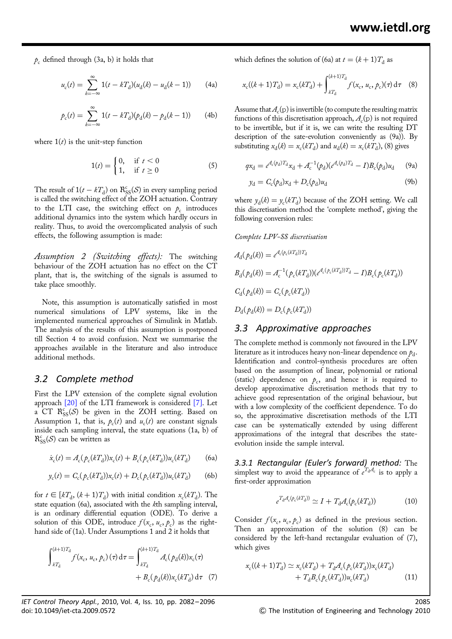$p_c$  defined through (3a, b) it holds that

$$
u_{c}(t) = \sum_{k=-\infty}^{\infty} 1(t - kT_{d})(u_{d}(k) - u_{d}(k-1))
$$
 (4a)

$$
p_{c}(t) = \sum_{k=-\infty}^{\infty} 1(t - kT_{d})(p_{d}(k) - p_{d}(k-1))
$$
 (4b)

where  $1(t)$  is the unit-step function

$$
1(t) = \begin{cases} 0, & \text{if } t < 0 \\ 1, & \text{if } t \ge 0 \end{cases}
$$
 (5)

The result of  $1(t - kT_d)$  on  $\mathcal{R}_{SS}^c(\mathcal{S})$  in every sampling period is called the switching effect of the ZOH actuation. Contrary to the LTI case, the switching effect on  $p_c$  introduces additional dynamics into the system which hardly occurs in reality. Thus, to avoid the overcomplicated analysis of such effects, the following assumption is made:

Assumption 2 (Switching effects): The switching behaviour of the ZOH actuation has no effect on the CT plant, that is, the switching of the signals is assumed to take place smoothly.

Note, this assumption is automatically satisfied in most numerical simulations of LPV systems, like in the implemented numerical approaches of Simulink in Matlab. The analysis of the results of this assumption is postponed till Section 4 to avoid confusion. Next we summarise the approaches available in the literature and also introduce additional methods.

### 3.2 Complete method

First the LPV extension of the complete signal evolution approach [20] of the LTI framework is considered [7]. Let a CT  $\mathcal{R}_{SS}^c(\mathcal{S})$  be given in the ZOH setting. Based on Assumption 1, that is,  $p_c(t)$  and  $u_c(t)$  are constant signals inside each sampling interval, the state equations (1a, b) of  $R_{SS}^{c}(\mathcal{S})$  can be written as

$$
\dot{x}_{\rm c}(t) = A_{\rm c}(\rho_{\rm c}(kT_{\rm d}))x_{\rm c}(t) + B_{\rm c}(\rho_{\rm c}(kT_{\rm d}))u_{\rm c}(kT_{\rm d})\tag{6a}
$$

$$
y_{c}(t) = C_{c}(p_{c}(kT_{d}))x_{c}(t) + D_{c}(p_{c}(kT_{d}))u_{c}(kT_{d})
$$
 (6b)

for  $t \in [kT_d, (k+1)T_d)$  with initial condition  $x_c(kT_d)$ . The state equation (6a), associated with the kth sampling interval, is an ordinary differential equation (ODE). To derive a solution of this ODE, introduce  $f(x_c, u_c, p_c)$  as the righthand side of (1a). Under Assumptions 1 and 2 it holds that

$$
\int_{kT_{\rm d}}^{(k+1)T_{\rm d}} f(x_{\rm c}, u_{\rm c}, p_{\rm c}) (\tau) d\tau = \int_{kT_{\rm d}}^{(k+1)T_{\rm d}} A_{\rm c}(p_{\rm d}(k)) x_{\rm c}(\tau) + B_{\rm c}(p_{\rm d}(k)) x_{\rm c}(kT_{\rm d}) d\tau
$$
 (7)

IET Control Theory Appl., 2010, Vol. 4, Iss. 10, pp. 2082– 2096 2085 doi: 10.1049/iet-cta.2009.0572 General The Institution of Engineering and Technology 2010

which defines the solution of (6a) at  $t = (k + 1)T_d$  as

$$
x_{\rm c}((k+1)T_{\rm d}) = x_{\rm c}(kT_{\rm d}) + \int_{kT_{\rm d}}^{(k+1)T_{\rm d}} f(x_{\rm c}, u_{\rm c}, p_{\rm c})(\tau) d\tau \quad (8)
$$

Assume that  $A_c(p)$  is invertible (to compute the resulting matrix functions of this discretisation approach,  $A_c(p)$  is not required to be invertible, but if it is, we can write the resulting DT description of the sate-evolution conveniently as (9a)). By substituting  $x_d(k) = x_c(kT_d)$  and  $u_d(k) = x_c(kT_d)$ , (8) gives

$$
qx_d = e^{A_c(\phi_d)T_d}x_d + A_c^{-1}(\phi_d)(e^{A_c(\phi_d)T_d} - I)B_c(\phi_d)u_d \qquad (9a)
$$

$$
y_d = C_c(\phi_d)x_d + D_c(\phi_d)u_d \tag{9b}
$$

where  $y_d(k) = y_c(kT_d)$  because of the ZOH setting. We call this discretisation method the 'complete method', giving the following conversion rules:

#### Complete LPV-SS discretisation

$$
A_{d}(\rho_{d}(k)) = e^{A_{c}(\rho_{c}(kT_{d}))T_{d}}
$$
  
\n
$$
B_{d}(\rho_{d}(k)) = A_{c}^{-1}(\rho_{c}(kT_{d})) (e^{A_{c}(\rho_{c}(kT_{d}))T_{d}} - I)B_{c}(\rho_{c}(kT_{d}))
$$
  
\n
$$
C_{d}(\rho_{d}(k)) = C_{c}(\rho_{c}(kT_{d}))
$$
  
\n
$$
D_{d}(\rho_{d}(k)) = D_{c}(\rho_{c}(kT_{d}))
$$

### 3.3 Approximative approaches

The complete method is commonly not favoured in the LPV literature as it introduces heavy non-linear dependence on  $p_d$ . Identification and control-synthesis procedures are often based on the assumption of linear, polynomial or rational (static) dependence on  $p_c$ , and hence it is required to develop approximative discretisation methods that try to achieve good representation of the original behaviour, but with a low complexity of the coefficient dependence. To do so, the approximative discretisation methods of the LTI case can be systematically extended by using different approximations of the integral that describes the stateevolution inside the sample interval.

3.3.1 Rectangular (Euler's forward) method: The simplest way to avoid the appearance of  $e^{T_dA_c}$  is to apply a first-order approximation

$$
e^{T_{\rm d}A_{\rm c}(\rho_{\rm c}(kT_{\rm d}))} \simeq I + T_{\rm d}A_{\rm c}(\rho_{\rm c}(kT_{\rm d})) \tag{10}
$$

Consider  $f(x_c, u_c, p_c)$  as defined in the previous section. Then an approximation of the solution (8) can be considered by the left-hand rectangular evaluation of (7), which gives

$$
x_c((k+1)T_d) \simeq x_c(kT_d) + T_d A_c(p_c(kT_d))x_c(kT_d) + T_d B_c(p_c(kT_d))u_c(kT_d)
$$
 (11)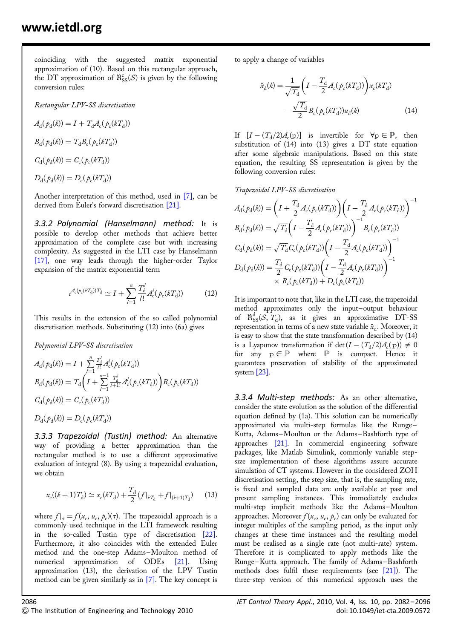coinciding with the suggested matrix exponential approximation of (10). Based on this rectangular approach, the DT approximation of  $\mathcal{R}_{SS}^c(\mathcal{S})$  is given by the following conversion rules:

Rectangular LPV-SS discretisation

 $A_{d}(\rho_{d}(k)) = I + T_{d}A_{c}(\rho_{c}(kT_{d}))$  $B_{\rm d}(\rho_{\rm d}(k))=T_{\rm d}B_{\rm c}(\rho_{\rm c}(kT_{\rm d}))$  $C_{d}(\rho_{d}(k)) = C_{c}(\rho_{c}(kT_{d}))$  $D_{d}(\rho_{d}(k)) = D_{c}(\rho_{c}(kT_{d}))$ 

Another interpretation of this method, used in [7], can be derived from Euler's forward discretisation [21].

3.3.2 Polynomial (Hanselmann) method: It is possible to develop other methods that achieve better approximation of the complete case but with increasing complexity. As suggested in the LTI case by Hanselmann [17], one way leads through the higher-order Taylor expansion of the matrix exponential term

$$
e^{A_{\rm c}(p_{\rm c}(kT_{\rm d}))T_{\rm d}} \simeq I + \sum_{l=1}^{n} \frac{T_{\rm d}^{l}}{l!} A_{\rm c}^{l}(p_{\rm c}(kT_{\rm d})) \tag{12}
$$

This results in the extension of the so called polynomial discretisation methods. Substituting (12) into (6a) gives

Polynomial LPV-SS discretisation

$$
A_{\rm d}(\rho_{\rm d}(k)) = I + \sum_{l=1}^{n} \frac{T_{\rm d}^{l}}{l!} A_{\rm c}^{l}(\rho_{\rm c}(k_{\rm d}T))
$$
  
\n
$$
B_{\rm d}(\rho_{\rm d}(k)) = T_{\rm d}\left(I + \sum_{l=1}^{n-1} \frac{T_{\rm d}^{l}}{l+1!} A_{\rm c}^{l}(\rho_{\rm c}(k_{\rm d}T))\right) B_{\rm c}(\rho_{\rm c}(k_{\rm d}T))
$$
  
\n
$$
C_{\rm d}(\rho_{\rm d}(k)) = C_{\rm c}(\rho_{\rm c}(k_{\rm d}T))
$$
  
\n
$$
D_{\rm d}(\rho_{\rm d}(k)) = D_{\rm c}(\rho_{\rm c}(k_{\rm d}T))
$$

3.3.3 Trapezoidal (Tustin) method: An alternative way of providing a better approximation than the rectangular method is to use a different approximative evaluation of integral (8). By using a trapezoidal evaluation, we obtain

$$
x_{\rm c}((k+1)T_{\rm d}) \simeq x_{\rm c}(kT_{\rm d}) + \frac{T_{\rm d}}{2} (f|_{kT_{\rm d}} + f|_{(k+1)T_{\rm d}}) \tag{13}
$$

where  $f|_{\tau} = f(x_c, u_c, \rho_c)(\tau)$ . The trapezoidal approach is a commonly used technique in the LTI framework resulting in the so-called Tustin type of discretisation [22]. Furthermore, it also coincides with the extended Euler method and the one-step Adams-Moulton method of numerical approximation of ODEs [21]. Using approximation (13), the derivation of the LPV Tustin method can be given similarly as in [7]. The key concept is to apply a change of variables

$$
\tilde{x}_{d}(k) = \frac{1}{\sqrt{T_{d}}} \left( I - \frac{T_{d}}{2} A_{c}(p_{c}(kT_{d})) \right) x_{c}(kT_{d}) - \frac{\sqrt{T_{d}}}{2} B_{c}(p_{c}(kT_{d})) u_{d}(k)
$$
\n(14)

If  $[I - (T_d/2)A_c(p)]$  is invertible for  $\forall p \in \mathbb{P}$ , then substitution of (14) into (13) gives a DT state equation after some algebraic manipulations. Based on this state equation, the resulting SS representation is given by the following conversion rules:

Trapezoidal LPV-SS discretisation

$$
A_{\rm d}(p_{\rm d}(k)) = \left(I + \frac{T_{\rm d}}{2} A_{\rm c}(p_{\rm c}(kT_{\rm d}))\right) \left(I - \frac{T_{\rm d}}{2} A_{\rm c}(p_{\rm c}(kT_{\rm d}))\right)^{-1}
$$
  
\n
$$
B_{\rm d}(p_{\rm d}(k)) = \sqrt{T_{\rm d}} \left(I - \frac{T_{\rm d}}{2} A_{\rm c}(p_{\rm c}(kT_{\rm d}))\right)^{-1} B_{\rm c}(p_{\rm c}(kT_{\rm d}))
$$
  
\n
$$
C_{\rm d}(p_{\rm d}(k)) = \sqrt{T_{\rm d}} C_{\rm c}(p_{\rm c}(kT_{\rm d})) \left(I - \frac{T_{\rm d}}{2} A_{\rm c}(p_{\rm c}(kT_{\rm d}))\right)^{-1}
$$
  
\n
$$
D_{\rm d}(p_{\rm d}(k)) = \frac{T_{\rm d}}{2} C_{\rm c}(p_{\rm c}(kT_{\rm d})) \left(I - \frac{T_{\rm d}}{2} A_{\rm c}(p_{\rm c}(kT_{\rm d}))\right)^{-1}
$$
  
\n
$$
\times B_{\rm c}(p_{\rm c}(kT_{\rm d})) + D_{\rm c}(p_{\rm c}(kT_{\rm d}))
$$

It is important to note that, like in the LTI case, the trapezoidal method approximates only the input–output behaviour of  $R_{SS}^{d}(S, T_d)$ , as it gives an approximative DT-SS representation in terms of a new state variable  $\check{x}_d$ . Moreover, it is easy to show that the state transformation described by (14) is a Lyapunov transformation if det  $(I - (T_d/2)A_c(p)) \neq 0$ for any  $p \in \mathbb{P}$  where  $\mathbb{P}$  is compact. Hence it guarantees preservation of stability of the approximated system [23].

3.3.4 Multi-step methods: As an other alternative, consider the state evolution as the solution of the differential equation defined by (1a). This solution can be numerically approximated via multi-step formulas like the Runge – Kutta, Adams –Moulton or the Adams –Bashforth type of approaches [21]. In commercial engineering software packages, like Matlab Simulink, commonly variable stepsize implementation of these algorithms assure accurate simulation of CT systems. However in the considered ZOH discretisation setting, the step size, that is, the sampling rate, is fixed and sampled data are only available at past and present sampling instances. This immediately excludes multi-step implicit methods like the Adams –Moulton approaches. Moreover  $f(x_c, u_c, p_c)$  can only be evaluated for integer multiples of the sampling period, as the input only changes at these time instances and the resulting model must be realised as a single rate (not multi-rate) system. Therefore it is complicated to apply methods like the Runge –Kutta approach. The family of Adams –Bashforth methods does fulfil these requirements (see [21]). The three-step version of this numerical approach uses the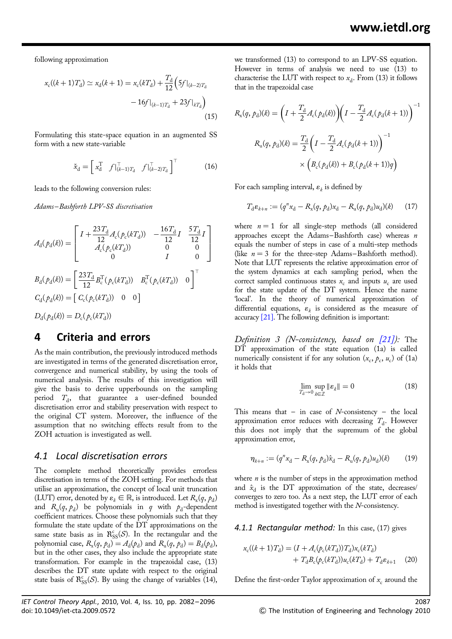following approximation

$$
x_{\rm c}((k+1)T_{\rm d}) \simeq x_{\rm d}(k+1) = x_{\rm c}(kT_{\rm d}) + \frac{T_{\rm d}}{12} \left( 5f|_{(k-2)T_{\rm d}} - 16f|_{(k-1)T_{\rm d}} + 23f|_{kT_{\rm d}} \right)
$$
\n(15)

Formulating this state-space equation in an augmented SS form with a new state-variable

$$
\check{\mathbf{x}}_{\mathbf{d}} = \begin{bmatrix} \mathbf{x}_{\mathbf{d}}^{\mathrm{T}} & f \vert_{(k-1)T_{\mathbf{d}}}^{\mathrm{T}} & f \vert_{(k-2)T_{\mathbf{d}}}^{\mathrm{T}} \end{bmatrix}^{\mathrm{T}} \tag{16}
$$

leads to the following conversion rules:

Adams –Bashforth LPV-SS discretisation

$$
A_{\rm d}(p_{\rm d}(k)) = \begin{bmatrix} I + \frac{23T_{\rm d}}{12} A_{\rm c}(p_{\rm c}(kT_{\rm d})) & -\frac{16T_{\rm d}}{12}I & \frac{5T_{\rm d}}{12}I \\ A_{\rm c}(p_{\rm c}(kT_{\rm d})) & 0 & 0 \\ 0 & I & 0 \end{bmatrix}
$$
  

$$
B_{\rm d}(p_{\rm d}(k)) = \begin{bmatrix} \frac{23T_{\rm d}}{12} B_{\rm c}^{\rm T}(p_{\rm c}(kT_{\rm d})) & B_{\rm c}^{\rm T}(p_{\rm c}(kT_{\rm d})) & 0 \\ 0 & 0 & 0 \end{bmatrix}^{\rm T}
$$
  

$$
C_{\rm d}(p_{\rm d}(k)) = \begin{bmatrix} C_{\rm c}(p_{\rm c}(kT_{\rm d})) & 0 & 0 \end{bmatrix}
$$
  

$$
D_{\rm d}(p_{\rm d}(k)) = D_{\rm c}(p_{\rm c}(kT_{\rm d}))
$$

## 4 Criteria and errors

As the main contribution, the previously introduced methods are investigated in terms of the generated discretisation error, convergence and numerical stability, by using the tools of numerical analysis. The results of this investigation will give the basis to derive upperbounds on the sampling period  $T<sub>d</sub>$ , that guarantee a user-defined bounded discretisation error and stability preservation with respect to the original CT system. Moreover, the influence of the assumption that no switching effects result from to the ZOH actuation is investigated as well.

### 4.1 Local discretisation errors

The complete method theoretically provides errorless discretisation in terms of the ZOH setting. For methods that utilise an approximation, the concept of local unit truncation (LUT) error, denoted by  $\varepsilon_k \in \mathbb{R}$ , is introduced. Let  $R_x(q, p_d)$ and  $R_u(q, p_d)$  be polynomials in q with  $p_d$ -dependent coefficient matrices. Choose these polynomials such that they formulate the state update of the DT approximations on the same state basis as in  $\mathcal{R}_{SS}^c(\mathcal{S})$ . In the rectangular and the polynomial case,  $R_x(q, \rho_d) = A_d(\rho_d)$  and  $R_u(q, \rho_d) = B_d(\rho_d)$ , but in the other cases, they also include the appropriate state transformation. For example in the trapezoidal case, (13) describes the DT state update with respect to the original state basis of  $\mathcal{R}_{SS}^c(\mathcal{S})$ . By using the change of variables (14),

we transformed (13) to correspond to an LPV-SS equation. However in terms of analysis we need to use (13) to characterise the LUT with respect to  $x_d$ . From (13) it follows that in the trapezoidal case

$$
R_{x}(q, p_{d})(k) = \left(I + \frac{T_{d}}{2}A_{c}(p_{d}(k))\right)\left(I - \frac{T_{d}}{2}A_{c}(p_{d}(k+1))\right)^{-1}
$$

$$
R_{u}(q, p_{d})(k) = \frac{T_{d}}{2}\left(I - \frac{T_{d}}{2}A_{c}(p_{d}(k+1))\right)^{-1}
$$

$$
\times \left(B_{c}(p_{d}(k)) + B_{c}(p_{d}(k+1))q\right)
$$

For each sampling interval,  $\varepsilon_k$  is defined by

$$
T_{\rm d}\varepsilon_{k+n} := (q^n x_{\rm d} - R_{\rm x}(q, p_{\rm d})x_{\rm d} - R_{\rm u}(q, p_{\rm d})u_{\rm d})(k) \qquad (17)
$$

where  $n = 1$  for all single-step methods (all considered approaches except the Adams–Bashforth case) whereas  $n$ equals the number of steps in case of a multi-step methods (like  $n = 3$  for the three-step Adams–Bashforth method). Note that LUT represents the relative approximation error of the system dynamics at each sampling period, when the correct sampled continuous states  $x_c$  and inputs  $u_c$  are used for the state update of the DT system. Hence the name 'local'. In the theory of numerical approximation of differential equations,  $\varepsilon_k$  is considered as the measure of accuracy [21]. The following definition is important:

Definition 3 (N-consistency, based on  $(21)$ ): The DT approximation of the state equation (1a) is called numerically consistent if for any solution  $(x_c, p_c, u_c)$  of (1a) it holds that

$$
\lim_{T_{\rm d}\to 0}\sup_{k\in\mathbb{Z}}\|\boldsymbol{\varepsilon}_{k}\|=0\tag{18}
$$

This means that  $-$  in case of N-consistency  $-$  the local approximation error reduces with decreasing  $T<sub>d</sub>$ . However this does not imply that the supremum of the global approximation error,

$$
\eta_{k+n} := (q^n x_d - R_x(q, p_d)\hat{x}_d - R_u(q, p_d)u_d)(k) \tag{19}
$$

where  $n$  is the number of steps in the approximation method and  $\hat{x}_d$  is the DT approximation of the state, decreases/ converges to zero too. As a next step, the LUT error of each method is investigated together with the N-consistency.

4.1.1 Rectangular method: In this case, (17) gives

$$
x_{\rm c}((k+1)T_{\rm d}) = (I + A_{\rm c}(\rho_{\rm c}(kT_{\rm d}))T_{\rm d})x_{\rm c}(kT_{\rm d}) + T_{\rm d}B_{\rm c}(\rho_{\rm c}(kT_{\rm d}))u_{\rm c}(kT_{\rm d}) + T_{\rm d}\varepsilon_{k+1} \tag{20}
$$

Define the first-order Taylor approximation of  $x_c$  around the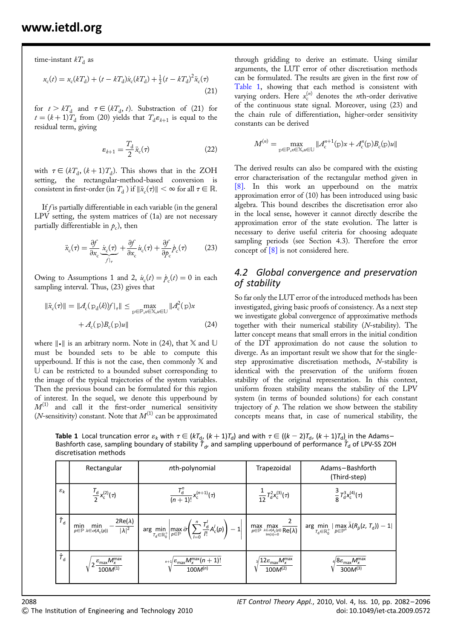time-instant  $kT<sub>d</sub>$  as

$$
x_{\rm c}(t) = x_{\rm c}(kT_{\rm d}) + (t - kT_{\rm d})\dot{x}_{\rm c}(kT_{\rm d}) + \frac{1}{2}(t - kT_{\rm d})^2\ddot{x}_{\rm c}(\tau) \tag{21}
$$

for  $t > kT_d$  and  $\tau \in (kT_d, t)$ . Substraction of (21) for  $t = (k+1)\overline{T}_{d}$  from (20) yields that  $T_{d}\varepsilon_{k+1}$  is equal to the residual term, giving

$$
\varepsilon_{k+1} = \frac{T_{\rm d}}{2} \ddot{x}_{\rm c}(\tau) \tag{22}
$$

with  $\tau \in (kT_d, (k + 1)T_d)$ . This shows that in the ZOH setting, the rectangular-method-based conversion is consistent in first-order (in  $T_d$ ) if  $\|\ddot{x}_c(\tau)\| < \infty$  for all  $\tau \in \mathbb{R}$ .

If  $f$  is partially differentiable in each variable (in the general LPV setting, the system matrices of (1a) are not necessary partially differentiable in  $p_c$ ), then

$$
\ddot{x}_{c}(\tau) = \frac{\partial f}{\partial x_{c}} \underbrace{\dot{x}_{c}(\tau)}_{f|_{\tau}} + \frac{\partial f}{\partial x_{c}} \dot{u}_{c}(\tau) + \frac{\partial f}{\partial p_{c}} \dot{p}_{c}(\tau) \tag{23}
$$

Owing to Assumptions 1 and 2,  $\dot{u}_c(t) = \dot{p}_c(t) = 0$  in each sampling interval. Thus, (23) gives that

$$
\|\ddot{x}_{\mathrm{c}}(\tau)\| = \|A_{\mathrm{c}}(\mathrm{p}_{\mathrm{d}}(k))f\|_{\tau}\| \le \max_{\mathrm{p}\in\mathbb{P},\mathrm{x}\in\mathbb{X},\mathrm{u}\in\mathbb{U}} \|A_{\mathrm{c}}^2(\mathrm{p})x + A_{\mathrm{c}}(\mathrm{p})B_{\mathrm{c}}(\mathrm{p})u\|
$$
\n(24)

where  $\| \cdot \|$  is an arbitrary norm. Note in (24), that X and U must be bounded sets to be able to compute this upperbound. If this is not the case, then commonly  $X$  and U can be restricted to a bounded subset corresponding to the image of the typical trajectories of the system variables. Then the previous bound can be formulated for this region of interest. In the sequel, we denote this upperbound by  $M^{(1)}$  and call it the first-order numerical sensitivity (*N*-sensitivity) constant. Note that  $M^{(1)}$  can be approximated

through gridding to derive an estimate. Using similar arguments, the LUT error of other discretisation methods can be formulated. The results are given in the first row of Table 1, showing that each method is consistent with varying orders. Here  $x_c^{(n)}$  denotes the *n*th-order derivative of the continuous state signal. Moreover, using (23) and the chain rule of differentiation, higher-order sensitivity constants can be derived

$$
M^{(n)} = \max_{\mathbf{p} \in \mathbb{P}, \mathbf{x} \in \mathbb{X}, u \in \mathbb{U}} ||A_{\mathbf{c}}^{n+1}(\mathbf{p})\mathbf{x} + A_{\mathbf{c}}^{n}(\mathbf{p})B_{\mathbf{c}}(\mathbf{p})u||
$$

The derived results can also be compared with the existing error characterisation of the rectangular method given in [8]. In this work an upperbound on the matrix approximation error of (10) has been introduced using basic algebra. This bound describes the discretisation error also in the local sense, however it cannot directly describe the approximation error of the state evolution. The latter is necessary to derive useful criteria for choosing adequate sampling periods (see Section 4.3). Therefore the error concept of  $[8]$  is not considered here.

## 4.2 Global convergence and preservation of stability

So far only the LUT error of the introduced methods has been investigated, giving basic proofs of consistency. As a next step we investigate global convergence of approximative methods together with their numerical stability (N-stability). The latter concept means that small errors in the initial condition of the DT approximation do not cause the solution to diverge. As an important result we show that for the singlestep approximative discretisation methods, N-stability is identical with the preservation of the uniform frozen stability of the original representation. In this context, uniform frozen stability means the stability of the LPV system (in terms of bounded solutions) for each constant trajectory of  $\rho$ . The relation we show between the stability concepts means that, in case of numerical stability, the

**Table 1** Local truncation error  $\varepsilon_k$  with  $\tau \in (k \tau_d, (k+1)\tau_d)$  and with  $\tau \in ((k-2)\tau_d, (k+1)\tau_d)$  in the Adams– Bashforth case, sampling boundary of stability  $\breve{I}_d$ , and sampling upperbound of performance  $\hat{I}_d$  of LPV-SS ZOH discretisation methods

|                             | Rectangular                                                                                              | nth-polynomial                                                                                                                                                | Trapezoidal                                                                                                                               | Adams-Bashforth<br>(Third-step)                                                                                                                                           |
|-----------------------------|----------------------------------------------------------------------------------------------------------|---------------------------------------------------------------------------------------------------------------------------------------------------------------|-------------------------------------------------------------------------------------------------------------------------------------------|---------------------------------------------------------------------------------------------------------------------------------------------------------------------------|
| $\varepsilon_k$             | $\frac{I_{\rm d}}{2}x_{\rm c}^{(2)}(\tau)$                                                               | $\frac{I_{d}^{n}}{(n+1)!}x_{c}^{(n+1)}(\tau)$                                                                                                                 | $\frac{1}{12}T_{d}^{2}x_{c}^{(3)}(\tau)$                                                                                                  | $\frac{3}{8}T_{d}^{3}x_{c}^{(4)}(\tau)$                                                                                                                                   |
| $\check{\tau}_{\sf d}$      | $\frac{2\text{Re}(\lambda)}{ \lambda ^2}$<br>min<br>min<br>$p \in \mathbb{P} \lambda \in \sigma(A_c(p))$ | $\arg\min_{T_d \in \mathbb{R}^+_0} \left  \max_{\rho \in \mathbb{P}} \bar{\sigma} \left( \sum_{l=0}^n \frac{T_d^l}{l!} A_c^l(\rho) \right) - 1 \right  \Big $ | $\max_{p \in \mathbb{P}} \max_{\genfrac{}{}{0pt}{}{\lambda \in \sigma(A_{\mathrm{c}}(p))}{\ln(\lambda)=0}} \overline{\text{Re}(\lambda)}$ | $\arg\min\limits_{\mathcal{T}_{\mathrm{d}}\in\mathbb{R}^{+}_{0}} \max\limits_{\bar{\rho}\in\mathbb{P}^{n}}\bar{\lambda}(R_{\bar{\rho}}(z,\,\mathcal{T}_{\mathrm{d}}))-1 $ |
| $\hat{\mathcal{T}}_{\sf d}$ | $\varepsilon_{\text{max}} M_x^{\text{max}}$                                                              | $\sqrt[n+1]{\frac{\varepsilon_{\max} M_x^{\max}(n+1)!}{100M^{(n)}}}$                                                                                          | $^{\prime}12\varepsilon_{\mathsf{max}}\mathsf{M}_{\mathsf{x}}^{\mathsf{max}}$<br>$100M^{(2)}$                                             | $\frac{1}{4}8\varepsilon_{\mathsf{max}}M_{\mathsf{x}}^{\mathsf{max}}$<br>$300M^{(3)}$                                                                                     |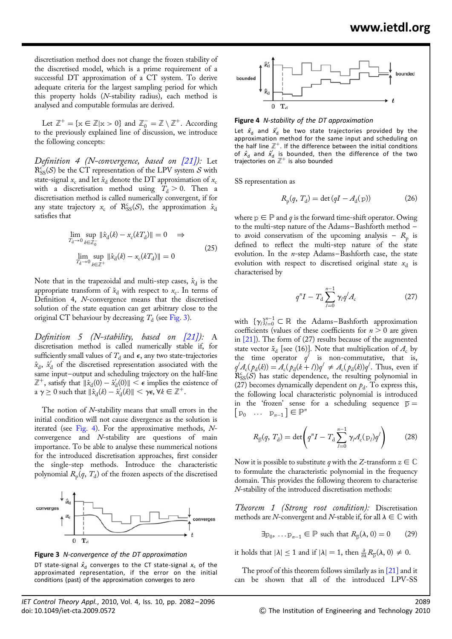discretisation method does not change the frozen stability of the discretised model, which is a prime requirement of a successful DT approximation of a CT system. To derive adequate criteria for the largest sampling period for which this property holds (N-stability radius), each method is analysed and computable formulas are derived.

Let  $\mathbb{Z}^+ = \{x \in \mathbb{Z} | x > 0\}$  and  $\mathbb{Z}_0^- = \mathbb{Z} \setminus \mathbb{Z}^+$ . According to the previously explained line of discussion, we introduce the following concepts:

Definition 4 (N-convergence, based on  $[21]$ ): Let  $R_{SS}^{c}(S)$  be the CT representation of the LPV system S with state-signal  $x_c$  and let  $\hat{x}_d$  denote the DT approximation of  $x_c$ with a discretisation method using  $T<sub>d</sub> > 0$ . Then a discretisation method is called numerically convergent, if for any state trajectory  $x_c$  of  $\mathcal{R}_{SS}^c(\mathcal{S})$ , the approximation  $\hat{x}_d$ satisfies that

$$
\lim_{T_{\rm d}\to 0} \sup_{k \in \mathbb{Z}_0^-} \|\hat{x}_{\rm d}(k) - x_{\rm c}(kT_{\rm d})\| = 0 \quad \Rightarrow
$$
\n
$$
\lim_{T_{\rm d}\to 0} \sup_{k \in \mathbb{Z}^+} \|\hat{x}_{\rm d}(k) - x_{\rm c}(kT_{\rm d})\| = 0 \tag{25}
$$

Note that in the trapezoidal and multi-step cases,  $\hat{x}_d$  is the appropriate transform of  $\breve{x}_d$  with respect to  $x_c$ . In terms of Definition 4, N-convergence means that the discretised solution of the state equation can get arbitrary close to the original CT behaviour by decreasing  $T<sub>d</sub>$  (see Fig. 3).

Definition 5 (N-stability, based on  $[21]$ ): A discretisation method is called numerically stable if, for sufficiently small values of  $T_d$  and  $\epsilon$ , any two state-trajectories  $\hat{x}_{\rm d}$ ,  $\hat{x}'_{\rm d}$  of the discretised representation associated with the same input–output and scheduling trajectory on the half-line  $\mathbb{Z}^+$ , satisfy that  $\|\hat{x}_d(0) - \hat{x}'_d(0)\| < \epsilon$  implies the existence of a  $\gamma \geq 0$  such that  $\|\hat{x}_{d}(k) - \hat{x}'_{d}(k)\| < \gamma \epsilon, \forall k \in \mathbb{Z}^{+}.$ 

The notion of N-stability means that small errors in the initial condition will not cause divergence as the solution is iterated (see Fig. 4). For the approximative methods,  $N$ convergence and N-stability are questions of main importance. To be able to analyse these nummerical notions for the introduced discretisation approaches, first consider the single-step methods. Introduce the characteristic polynomial  $R_p(q, T_d)$  of the frozen aspects of the discretised





DT state-signal  $\hat{x}_d$  converges to the CT state-signal  $x_c$  of the approximated representation, if the error on the initial conditions (past) of the approximation converges to zero



Figure 4 N-stability of the DT approximation

Let  $\hat{x}_{d}$  and  $\hat{x}'_{d}$  be two state trajectories provided by the approximation method for the same input and scheduling on the half line  $\mathbb{Z}^+$ . If the difference between the initial conditions of  $\hat{x}_d$  and  $\hat{x}'_d$  is bounded, then the difference of the two trajectories on  $\mathbb{Z}^+$  is also bounded

SS representation as

$$
R_{\mathbf{p}}(q, T_{\mathbf{d}}) = \det(qI - A_{\mathbf{d}}(\mathbf{p})) \tag{26}
$$

where  $p \in P$  and q is the forward time-shift operator. Owing to the multi-step nature of the Adams –Bashforth method – to avoid conservatism of the upcoming analysis –  $R_p$  is defined to reflect the multi-step nature of the state evolution. In the  $n$ -step Adams-Bashforth case, the state evolution with respect to discretised original state  $x_d$  is characterised by

$$
q^{n}I - T_{\rm d} \sum_{l=0}^{n-1} \gamma_{l} q^{l} A_{\rm c}
$$
 (27)

with  $\{\gamma_i\}_{i=0}^{n-1} \subset \mathbb{R}$  the Adams-Bashforth approximation coefficients (values of these coefficients for  $n > 0$  are given in [21]). The form of (27) results because of the augmented state vector  $\check{x}_{d}$  [see (16)]. Note that multiplication of  $A_c$  by the time operator  $q^l$  is non-commutative, that is,  $q^l A_c(p_d(k)) = A_c(p_d(k+l))q^l \neq A_c(p_d(k))q^l$ . Thus, even if  $\hat{R}_{SS}^{c}(\mathcal{S})$  has static dependence, the resulting polynomial in (27) becomes dynamically dependent on  $p_d$ . To express this, the following local characteristic polynomial is introduced in the 'frozen' sense for a scheduling sequence  $\overline{p} =$  $[p_0 \dots p_{n-1}] \in \mathbb{P}^n$ 

$$
R_{\bar{p}}(q, T_d) = \det \left( q^n I - T_d \sum_{l=0}^{n-1} \gamma_l A_c(p_l) q^l \right) \tag{28}
$$

Now it is possible to substitute q with the Z-transform  $z \in \mathbb{C}$ to formulate the characteristic polynomial in the frequency domain. This provides the following theorem to characterise N-stability of the introduced discretisation methods:

Theorem 1 (Strong root condition): Discretisation methods are N-convergent and N-stable if, for all  $\lambda \in \mathbb{C}$  with

$$
\exists p_0, \dots p_{n-1} \in \mathbb{P} \text{ such that } R_{\overline{p}}(\lambda, 0) = 0 \qquad (29)
$$

it holds that  $|\lambda| \le 1$  and if  $|\lambda| = 1$ , then  $\frac{\partial}{\partial \lambda} R_{\overline{p}}(\lambda, 0) \ne 0$ .

The proof of this theorem follows similarly as in [21] and it can be shown that all of the introduced LPV-SS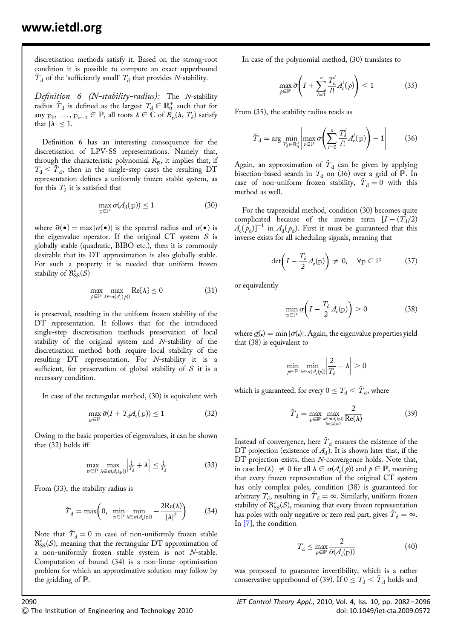discretisation methods satisfy it. Based on the strong-root condition it is possible to compute an exact upperbound  $\overline{T}_d$  of the 'sufficiently small'  $T_d$  that provides N-stability.

Definition 6 (N-stability-radius): The N-stability radius  $\check{T}_d$  is defined as the largest  $T_d \in \mathbb{R}^+_0$  such that for any  $p_0, \ldots, p_{n-1} \in \mathbb{P}$ , all roots  $\lambda \in \mathbb{C}$  of  $R_{\overline{p}}(\lambda, T_d)$  satisfy that  $|\lambda|$  < 1.

Definition 6 has an interesting consequence for the discretisation of LPV-SS representations. Namely that, through the characteristic polynomial  $R_{\overline{p}}$ , it implies that, if  $T_d < \tilde{T}_d$ , then in the single-step cases the resulting DT representation defines a uniformly frozen stable system, as for this  $T<sub>d</sub>$  it is satisfied that

$$
\max_{p \in \mathbb{P}} \bar{\sigma}(\mathcal{A}_d(p)) \le 1 \tag{30}
$$

where  $\bar{\sigma}(\bullet) = \max |\sigma(\bullet)|$  is the spectral radius and  $\sigma(\bullet)$  is the eigenvalue operator. If the original CT system  $S$  is globally stable (quadratic, BIBO etc.), then it is commonly desirable that its DT approximation is also globally stable. For such a property it is needed that uniform frozen stability of  $\aleph^{\text{c}}_{\text{SS}}(\mathcal{S})$ 

$$
\max_{p \in \mathbb{P}} \max_{\lambda \in \sigma(\mathcal{A}_c(p))} \text{Re}\{\lambda\} \le 0 \tag{31}
$$

is preserved, resulting in the uniform frozen stability of the DT representation. It follows that for the introduced single-step discretisation methods preservation of local stability of the original system and N-stability of the discretisation method both require local stability of the resulting DT representation. For N-stability it is a sufficient, for preservation of global stability of  $S$  it is a necessary condition.

In case of the rectangular method, (30) is equivalent with

$$
\max_{p \in \mathbb{P}} \bar{\sigma}(I + T_{d} \mathcal{A}_{c}(p)) \le 1
$$
\n(32)

Owing to the basic properties of eigenvalues, it can be shown that (32) holds iff

$$
\max_{p \in \mathbb{P}} \max_{\lambda \in \sigma(\mathcal{A}_{c}(p))} \left| \frac{1}{T_{d}} + \lambda \right| \leq \frac{1}{T_{d}} \tag{33}
$$

From (33), the stability radius is

$$
\check{T}_{\mathrm{d}} = \max\left(0, \min_{\mathrm{p} \in \mathbb{P}} \min_{\lambda \in \sigma(\mathcal{A}_{\mathrm{c}}(\mathrm{p}))} - \frac{2\mathrm{Re}(\lambda)}{|\lambda|^2}\right) \tag{34}
$$

Note that  $\tilde{T}_d = 0$  in case of non-uniformly frozen stable  $\mathcal{R}_{SS}^c(\mathcal{S})$ , meaning that the rectangular DT approximation of a non-uniformly frozen stable system is not N-stable. Computation of bound (34) is a non-linear optimisation problem for which an approximative solution may follow by the gridding of P.

In case of the polynomial method, (30) translates to

$$
\max_{\rho \in \mathbb{P}} \bar{\sigma} \left( I + \sum_{l=1}^{n} \frac{T_{d}^{l}}{l!} A_{c}^{l}(\rho) \right) < 1 \tag{35}
$$

From (35), the stability radius reads as

$$
\tilde{T}_{\rm d} = \arg \min_{T_{\rm d} \in \mathbb{R}_0^+} \left| \max_{p \in \mathbb{P}} \bar{\sigma} \left( \sum_{l=0}^n \frac{T_{\rm d}^l}{l!} A_{\rm c}^l(\mathbf{p}) \right) - 1 \right| \tag{36}
$$

Again, an approximation of  $\tilde{T}_d$  can be given by applying bisection-based search in  $T_d$  on (36) over a grid of  $\mathbb P$ . In case of non-uniform frozen stability,  $T_d = 0$  with this method as well.

For the trapezoidal method, condition (30) becomes quite complicated because of the inverse term  $[I - (T_d/2)]$  $A_c(\rho_d)$ ]<sup>−1</sup> in  $A_d(\rho_d)$ . First it must be guaranteed that this inverse exists for all scheduling signals, meaning that

$$
\det\left(I - \frac{T_d}{2}A_c(p)\right) \neq 0, \quad \forall p \in \mathbb{P} \tag{37}
$$

or equivalently

$$
\min_{\mathbf{p}\in\mathbb{P}}\underline{\sigma}\bigg(I-\frac{T_{\mathrm{d}}}{2}A_{\mathrm{c}}(\mathbf{p})\bigg)>0\tag{38}
$$

where  $\sigma(z) = \min |\sigma(z)|$ . Again, the eigenvalue properties yield that (38) is equivalent to

$$
\min_{p \in \mathbb{P}} \min_{\lambda \in \sigma(\mathcal{A}_c(p))} \left| \frac{2}{T_d} - \lambda \right| > 0
$$

which is guaranteed, for every  $0 \leq T_d < \tilde{T}_d$ , where

$$
\tilde{T}_{\mathrm{d}} = \max_{\mathrm{p} \in \mathbb{P}} \max_{\substack{\lambda \in \sigma(\mathcal{A}_{\mathrm{c}}(\mathrm{p})) \\ \mathrm{Im}(\lambda) = 0}} \frac{2}{\mathrm{Re}(\lambda)}\tag{39}
$$

Instead of convergence, here  $\check{T}_d$  ensures the existence of the DT projection (existence of  $A_d$ ). It is shown later that, if the DT projection exists, then N-convergence holds. Note that, in case  $\text{Im}(\lambda) \neq 0$  for all  $\lambda \in \sigma(A_c(p))$  and  $p \in \mathbb{P}$ , meaning that every frozen representation of the original CT system has only complex poles, condition (38) is guaranteed for arbitrary  $T_d$ , resulting in  $\tilde{T}_d = \infty$ . Similarly, uniform frozen stability of  $\mathcal{R}_{SS}^c(\mathcal{S})$ , meaning that every frozen representation has poles with only negative or zero real part, gives  $\tilde{T}_d = \infty$ . In [7], the condition

$$
T_{\rm d} \le \max_{\rm p \in \mathbb{P}} \frac{2}{\bar{\sigma}(\mathcal{A}_{\rm c}(\rm p))} \tag{40}
$$

was proposed to guarantee invertibility, which is a rather conservative upperbound of (39). If  $0 \leq T_d \leq T_d$  holds and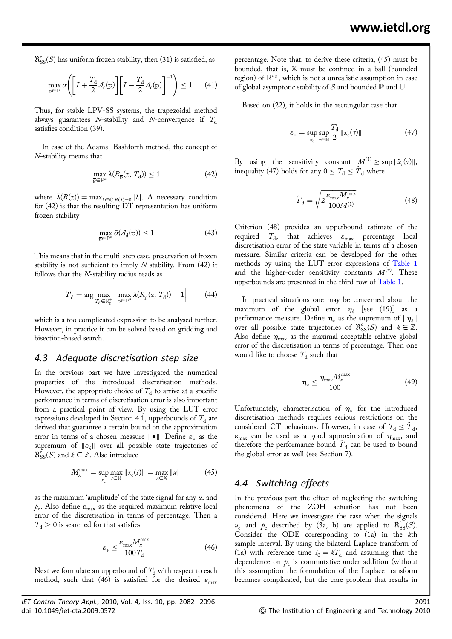$\mathcal{R}_{SS}^c(\mathcal{S})$  has uniform frozen stability, then (31) is satisfied, as

$$
\max_{\mathbf{p}\in\mathbb{P}}\bar{\sigma}\Bigg(\bigg[I+\frac{T_{\mathrm{d}}}{2}A_{\mathrm{c}}(\mathbf{p})\bigg]\bigg[I-\frac{T_{\mathrm{d}}}{2}A_{\mathrm{c}}(\mathbf{p})\bigg]^{-1}\Bigg)\leq 1\qquad(41)
$$

Thus, for stable LPV-SS systems, the trapezoidal method always guarantees N-stability and N-convergence if  $T_d$ satisfies condition (39).

In case of the Adams –Bashforth method, the concept of N-stability means that

$$
\max_{\overline{\mathbf{p}} \in \mathbb{P}^n} \overline{\lambda}(R_{\overline{\mathbf{p}}}(z, T_{\mathbf{d}})) \le 1 \tag{42}
$$

where  $\bar{\lambda}(R(z)) = \max_{\lambda \in \mathbb{C}, R(\lambda)=0} |\lambda|$ . A necessary condition for (42) is that the resulting DT representation has uniform frozen stability

$$
\max_{\overline{\mathbf{p}} \in \mathbb{P}^n} \bar{\sigma}(\mathcal{A}_{\mathbf{d}}(\mathbf{p})) \le 1 \tag{43}
$$

This means that in the multi-step case, preservation of frozen stability is not sufficient to imply  $N$ -stability. From  $(42)$  it follows that the N-stability radius reads as

$$
\tilde{T}_{\mathrm{d}} = \arg \max_{T_{\mathrm{d}} \in \mathbb{R}_{0}^{+}} \left| \max_{\overline{\mathbf{p}} \in \mathbb{P}^{n}} \overline{\lambda}(R_{\overline{\mathbf{p}}}(z, T_{\mathrm{d}})) - 1 \right| \tag{44}
$$

which is a too complicated expression to be analysed further. However, in practice it can be solved based on gridding and bisection-based search.

#### 4.3 Adequate discretisation step size

In the previous part we have investigated the numerical properties of the introduced discretisation methods. However, the appropriate choice of  $T<sub>d</sub>$  to arrive at a specific performance in terms of discretisation error is also important from a practical point of view. By using the LUT error expressions developed in Section 4.1, upperbounds of  $T<sub>d</sub>$  are derived that guarantee a certain bound on the approximation error in terms of a chosen measure  $|| \cdot ||$ . Define  $\varepsilon$  as the supremum of  $\|\varepsilon_k\|$  over all possible state trajectories of  $\mathcal{R}_{SS}^{\bar{c}}(\mathcal{S})$  and  $k \in \mathbb{Z}$ . Also introduce

$$
M_x^{\max} = \sup_{x_c} \max_{t \in \mathbb{R}} \|x_c(t)\| = \max_{x \in \mathbb{X}} \|x\| \tag{45}
$$

as the maximum 'amplitude' of the state signal for any  $u_c$  and  $p_c$ . Also define  $\varepsilon_{\text{max}}$  as the required maximum relative local error of the discretisation in terms of percentage. Then a  $T<sub>d</sub> > 0$  is searched for that satisfies

$$
\varepsilon_* \le \frac{\varepsilon_{\text{max}} M_x^{\text{max}}}{100 T_{\text{d}}} \tag{46}
$$

Next we formulate an upperbound of  $T<sub>d</sub>$  with respect to each method, such that (46) is satisfied for the desired  $\varepsilon_{\text{max}}$ 

percentage. Note that, to derive these criteria, (45) must be bounded, that is, X must be confined in a ball (bounded region) of  $\mathbb{R}^{n_{\mathbb{X}}}$ , which is not a unrealistic assumption in case of global asymptotic stability of  $S$  and bounded  $\mathbb P$  and  $\mathbb U$ .

Based on (22), it holds in the rectangular case that

$$
\varepsilon_* = \sup_{x_{\rm c}} \sup_{\tau \in \mathbb{R}} \frac{T_{\rm d}}{2} \|\ddot{x}_{\rm c}(\tau)\| \tag{47}
$$

By using the sensitivity constant  $M^{(1)} \geq \sup ||\ddot{x}_{c}(\tau)||$ , inequality (47) holds for any  $0 \leq T_d \leq \hat{T}_d$  where

$$
\hat{T}_{\rm d} = \sqrt{2 \frac{\varepsilon_{\rm max} M_{\rm x}^{\rm max}}{100 M^{(1)}}}
$$
(48)

Criterion (48) provides an upperbound estimate of the required  $T_{\rm d}$ , that achieves  $\varepsilon_{\rm max}$  percentage local discretisation error of the state variable in terms of a chosen measure. Similar criteria can be developed for the other methods by using the LUT error expressions of Table 1 and the higher-order sensitivity constants  $M^{(n)}$ . These upperbounds are presented in the third row of Table 1.

In practical situations one may be concerned about the maximum of the global error  $\eta_k$  [see (19)] as a performance measure. Define  $\eta_*$  as the supremum of  $\|\eta_k\|$ over all possible state trajectories of  $\mathcal{R}_{SS}^c(\mathcal{S})$  and  $k \in \mathbb{Z}$ . Also define  $\eta_{\text{max}}$  as the maximal acceptable relative global error of the discretisation in terms of percentage. Then one would like to choose  $T<sub>d</sub>$  such that

$$
\eta_* \le \frac{\eta_{\text{max}} M_x^{\text{max}}}{100} \tag{49}
$$

Unfortunately, characterisation of  $\eta_*$  for the introduced discretisation methods requires serious restrictions on the considered CT behaviours. However, in case of  $T_d \leq T_d$ ,  $\varepsilon_{\text{max}}$  can be used as a good approximation of  $\eta_{\text{max}}$ , and therefore the performance bound  $T_d$  can be used to bound the global error as well (see Section 7).

## 4.4 Switching effects

In the previous part the effect of neglecting the switching phenomena of the ZOH actuation has not been considered. Here we investigate the case when the signals  $u_c$  and  $p_c$  described by (3a, b) are applied to  $\mathcal{R}_{SS}^c(\mathcal{S})$ . Consider the ODE corresponding to (1a) in the kth sample interval. By using the bilateral Laplace transform of (1a) with reference time  $t_0 = kT_d$  and assuming that the dependence on  $p_c$  is commutative under addition (without this assumption the formulation of the Laplace transform becomes complicated, but the core problem that results in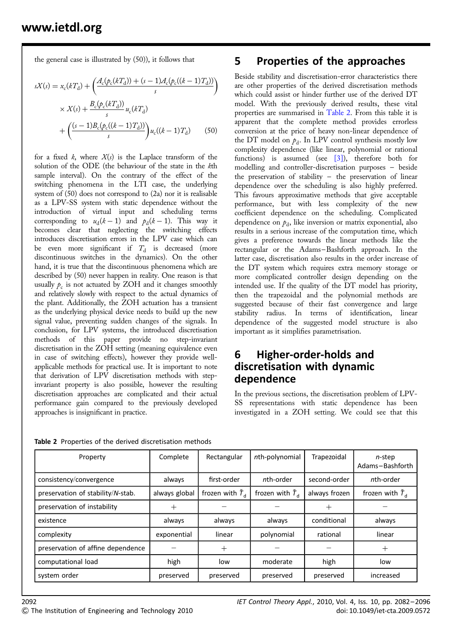the general case is illustrated by (50)), it follows that

$$
sX(s) = x_c(kT_d) + \left(\frac{A_c(p_c(kT_d)) + (s - 1)A_c(p_c((k - 1)T_d))}{s}\right)
$$
  
 
$$
\times X(s) + \frac{B_c(p_c(kT_d))}{s}u_c(kT_d)
$$
  
 
$$
+ \left(\frac{(s - 1)B_c(p_c((k - 1)T_d))}{s}\right)u_c((k - 1)T_d)
$$
 (50)

for a fixed  $k$ , where  $X(s)$  is the Laplace transform of the solution of the ODE (the behaviour of the state in the kth sample interval). On the contrary of the effect of the switching phenomena in the LTI case, the underlying system of (50) does not correspond to (2a) nor it is realisable as a LPV-SS system with static dependence without the introduction of virtual input and scheduling terms corresponding to  $u_d(k-1)$  and  $p_d(k-1)$ . This way it becomes clear that neglecting the switching effects introduces discretisation errors in the LPV case which can be even more significant if  $T<sub>d</sub>$  is decreased (more discontinuous switches in the dynamics). On the other hand, it is true that the discontinuous phenomena which are described by (50) never happen in reality. One reason is that usually  $p_c$  is not actuated by ZOH and it changes smoothly and relatively slowly with respect to the actual dynamics of the plant. Additionally, the ZOH actuation has a transient as the underlying physical device needs to build up the new signal value, preventing sudden changes of the signals. In conclusion, for LPV systems, the introduced discretisation methods of this paper provide no step-invariant discretisation in the ZOH setting (meaning equivalence even in case of switching effects), however they provide wellapplicable methods for practical use. It is important to note that derivation of LPV discretisation methods with stepinvariant property is also possible, however the resulting discretisation approaches are complicated and their actual performance gain compared to the previously developed approaches is insignificant in practice.

## 5 Properties of the approaches

Beside stability and discretisation-error characteristics there are other properties of the derived discretisation methods which could assist or hinder further use of the derived DT model. With the previously derived results, these vital properties are summarised in Table 2. From this table it is apparent that the complete method provides errorless conversion at the price of heavy non-linear dependence of the DT model on  $p_d$ . In LPV control synthesis mostly low complexity dependence (like linear, polynomial or rational functions) is assumed (see [3]), therefore both for modelling and controller-discretisation purposes – beside the preservation of stability – the preservation of linear dependence over the scheduling is also highly preferred. This favours approximative methods that give acceptable performance, but with less complexity of the new coefficient dependence on the scheduling. Complicated dependence on  $p_d$ , like inversion or matrix exponential, also results in a serious increase of the computation time, which gives a preference towards the linear methods like the rectangular or the Adams –Bashforth approach. In the latter case, discretisation also results in the order increase of the DT system which requires extra memory storage or more complicated controller design depending on the intended use. If the quality of the DT model has priority, then the trapezoidal and the polynomial methods are suggested because of their fast convergence and large stability radius. In terms of identification, linear dependence of the suggested model structure is also important as it simplifies parametrisation.

## 6 Higher-order-holds and discretisation with dynamic dependence

In the previous sections, the discretisation problem of LPV-SS representations with static dependence has been investigated in a ZOH setting. We could see that this

| Property                          | Complete      | Rectangular               | nth-polynomial            | Trapezoidal   | n-step<br>Adams-Bashforth |
|-----------------------------------|---------------|---------------------------|---------------------------|---------------|---------------------------|
| consistency/convergence           | always        | first-order               | nth-order                 | second-order  | nth-order                 |
| preservation of stability/N-stab. | always global | frozen with $\tilde{T}_d$ | frozen with $\tilde{T}_d$ | always frozen | frozen with $\bar{T}_d$   |
| preservation of instability       | ┿             |                           |                           | $^+$          |                           |
| existence                         | always        | always                    | always                    | conditional   | always                    |
| complexity                        | exponential   | linear                    | polynomial                | rational      | linear                    |
| preservation of affine dependence |               | $\hspace{.011cm} +$       |                           |               | $^{+}$                    |
| computational load                | high          | low                       | moderate                  | high          | low                       |
| system order                      | preserved     | preserved                 | preserved                 | preserved     | increased                 |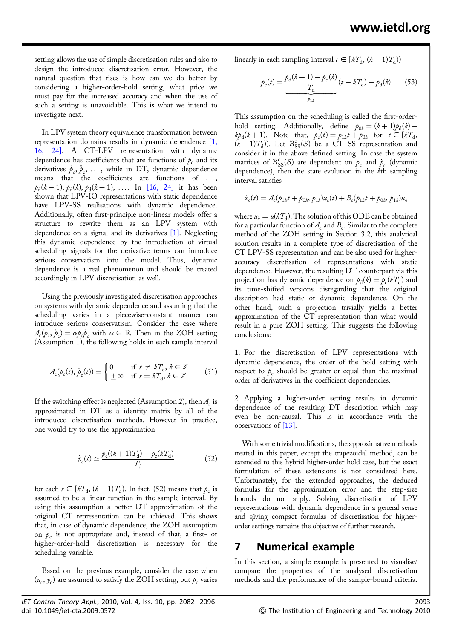setting allows the use of simple discretisation rules and also to design the introduced discretisation error. However, the natural question that rises is how can we do better by considering a higher-order-hold setting, what price we must pay for the increased accuracy and when the use of such a setting is unavoidable. This is what we intend to investigate next.

In LPV system theory equivalence transformation between representation domains results in dynamic dependence [1, 16, 24]. A CT-LPV representation with dynamic dependence has coefficients that are functions of  $p_c$  and its derivatives  $\dot{p}_c, \ddot{p}_c, \ldots$ , while in DT, dynamic dependence means that the coefficients are functions of ... ,  $p_d(k-1), p_d(k), p_d(k+1), \ldots$  In [16, 24] it has been shown that LPV-IO representations with static dependence have LPV-SS realisations with dynamic dependence. Additionally, often first-principle non-linear models offer a structure to rewrite them as an LPV system with dependence on a signal and its derivatives [1]. Neglecting this dynamic dependence by the introduction of virtual scheduling signals for the derivative terms can introduce serious conservatism into the model. Thus, dynamic dependence is a real phenomenon and should be treated accordingly in LPV discretisation as well.

Using the previously investigated discretisation approaches on systems with dynamic dependence and assuming that the scheduling varies in a piecewise-constant manner can introduce serious conservatism. Consider the case where  $A_c(p_c, p_c) = \alpha p_c p_c$  with  $\alpha \in \mathbb{R}$ . Then in the ZOH setting (Assumption 1), the following holds in each sample interval

$$
A_{\rm c}(p_{\rm c}(t), \dot{p}_{\rm c}(t)) = \begin{cases} 0 & \text{if } t \neq kT_{\rm d}, k \in \mathbb{Z} \\ \pm \infty & \text{if } t = kT_{\rm d}, k \in \mathbb{Z} \end{cases} \tag{51}
$$

If the switching effect is neglected (Assumption 2), then  $A_c$  is approximated in DT as a identity matrix by all of the introduced discretisation methods. However in practice, one would try to use the approximation

$$
\dot{p}_{c}(t) \simeq \frac{p_{c}((k+1)T_{d}) - p_{c}(kT_{d})}{T_{d}} \tag{52}
$$

for each  $t \in [kT_d, (k+1)T_d)$ . In fact, (52) means that  $p_c$  is assumed to be a linear function in the sample interval. By using this assumption a better DT approximation of the original CT representation can be achieved. This shows that, in case of dynamic dependence, the ZOH assumption on  $p_c$  is not appropriate and, instead of that, a first- or higher-order-hold discretisation is necessary for the scheduling variable.

Based on the previous example, consider the case when  $(u_c, y_c)$  are assumed to satisfy the ZOH setting, but  $p_c$  varies linearly in each sampling interval  $t \in [kT_d, (k+1)T_d)$ )

$$
p_{c}(t) = \underbrace{\frac{p_{d}(k+1) - p_{d}(k)}{T_{d}}}_{p_{1k}}(t - kT_{d}) + p_{d}(k) \tag{53}
$$

This assumption on the scheduling is called the first-orderhold setting. Additionally, define  $p_{0k} = (k+1)p_d(k)$  $k p_d(k+1)$ . Note that,  $p_c(t) = p_{1k}t + p_{0k}$  for  $t \in [kT_d]$ ,  $(k+1)T_d$ ). Let  $\mathcal{R}_{SS}^c(\mathcal{S})$  be a CT SS representation and consider it in the above defined setting. In case the system matrices of  $\mathcal{R}_{SS}^c(\mathcal{S})$  are dependent on  $p_c$  and  $p_c$  (dynamic dependence), then the state evolution in the kth sampling interval satisfies

$$
\dot{x}_{c}(t) = A_{c}(p_{1k}t + p_{0k}, p_{1k})x_{c}(t) + B_{c}(p_{1k}t + p_{0k}, p_{1k})u_{k}
$$

where  $u_k = u(kT_d)$ . The solution of this ODE can be obtained for a particular function of  $A_c$  and  $B_c$ . Similar to the complete method of the ZOH setting in Section 3.2, this analytical solution results in a complete type of discretisation of the CT LPV-SS representation and can be also used for higheraccuracy discretisation of representations with static dependence. However, the resulting DT counterpart via this projection has dynamic dependence on  $p_d(k) = p_c(kT_d)$  and its time-shifted versions disregarding that the original description had static or dynamic dependence. On the other hand, such a projection trivially yields a better approximation of the CT representation than what would result in a pure ZOH setting. This suggests the following conclusions:

1. For the discretisation of LPV representations with dynamic dependence, the order of the hold setting with respect to  $p_c$  should be greater or equal than the maximal order of derivatives in the coefficient dependencies.

2. Applying a higher-order setting results in dynamic dependence of the resulting DT description which may even be non-causal. This is in accordance with the observations of [13].

With some trivial modifications, the approximative methods treated in this paper, except the trapezoidal method, can be extended to this hybrid higher-order hold case, but the exact formulation of these extensions is not considered here. Unfortunately, for the extended approaches, the deduced formulas for the approximation error and the step-size bounds do not apply. Solving discretisation of LPV representations with dynamic dependence in a general sense and giving compact formulas of discretisation for higherorder settings remains the objective of further research.

## 7 Numerical example

In this section, a simple example is presented to visualise/ compare the properties of the analysed discretisation methods and the performance of the sample-bound criteria.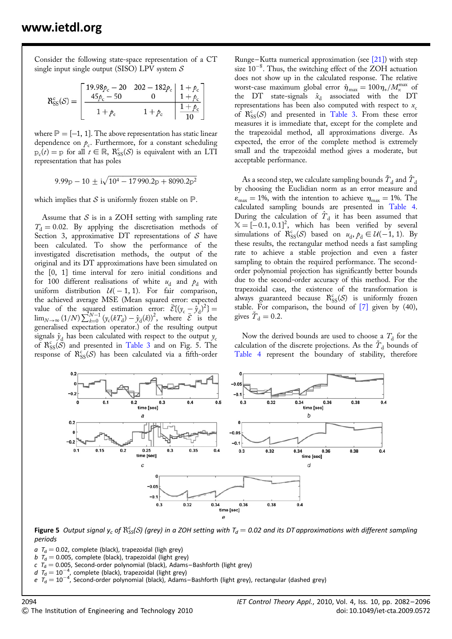Consider the following state-space representation of a CT single input single output (SISO) LPV system  $S$ 

$$
\mathsf{R}^{\text{c}}_{\text{SS}}(\mathcal{S}) = \left[ \begin{array}{cc|cc} 19.98 \rho_{\text{c}} - 20 & 202 - 182 \rho_{\text{c}} & 1 + \rho_{\text{c}} \\ \hline 45 \rho_{\text{c}} - 50 & 0 & 1 + \rho_{\text{c}} \\ \hline 1 + \rho_{\text{c}} & 1 + \rho_{\text{c}} & \frac{1 + \rho_{\text{c}}}{10} \end{array} \right]
$$

where  $\mathbb{P} = [-1, 1]$ . The above representation has static linear dependence on  $p_c$ . Furthermore, for a constant scheduling  $p_c(t) = p$  for all  $t \in \mathbb{R}$ ,  $\mathcal{R}_{SS}^c(\mathcal{S})$  is equivalent with an LTI representation that has poles

$$
9.99\text{p} - 10 \pm i\sqrt{10^4 - 17990.2\text{p} + 8090.2\text{p}^2}
$$

which implies that S is uniformly frozen stable on  $\mathbb P$ .

Assume that  $S$  is in a ZOH setting with sampling rate  $T<sub>d</sub> = 0.02$ . By applying the discretisation methods of Section 3, approximative DT representations of  $S$  have been calculated. To show the performance of the investigated discretisation methods, the output of the original and its DT approximations have been simulated on the [0, 1] time interval for zero initial conditions and for 100 different realisations of white  $u_d$  and  $p_d$  with uniform distribution  $U(-1, 1)$ . For fair comparison, the achieved average MSE (Mean squared error: expected value of the squared estimation error:  $\bar{\mathcal{E}}\{(y_c - \hat{y}_d)^2\} =$  $\lim_{N\to\infty} (1/N) \sum_{k=0}^{N-1} (y_c(kT_d) - \hat{y}_d(k))^2$ , where  $\overline{\mathcal{E}}$  is the generalised expectation operator.) of the resulting output signals  $\hat{y}_d$  has been calculated with respect to the output  $y_c$ of  $\mathcal{R}_{SS}^{c}(\mathcal{S})$  and presented in Table 3 and on Fig. 5. The response of  $\mathcal{R}_{SS}^{c}(\mathcal{S})$  has been calculated via a fifth-order

Runge-Kutta numerical approximation (see  $[21]$ ) with step size  $10^{-8}$ . Thus, the switching effect of the ZOH actuation does not show up in the calculated response. The relative worst-case maximum global error  $\hat{\eta}_{\text{max}} = 100 \eta_*/M_\text{x}^{\text{max}}$  of the DT state-signals  $\hat{x}_d$  associated with the DT representations has been also computed with respect to  $x_c$ of  $\mathcal{R}_{SS}^{c}(\mathcal{S})$  and presented in Table 3. From these error measures it is immediate that, except for the complete and the trapezoidal method, all approximations diverge. As expected, the error of the complete method is extremely small and the trapezoidal method gives a moderate, but acceptable performance.

As a second step, we calculate sampling bounds  $T_d$  and  $T_d$ by choosing the Euclidian norm as an error measure and  $\varepsilon_{\text{max}} = 1\%$ , with the intention to achieve  $\eta_{\text{max}} = 1\%$ . The calculated sampling bounds are presented in Table 4. During the calculation of  $T<sub>d</sub>$  it has been assumed that  $X = [-0.1, 0.1]^2$ , which has been verified by several simulations of  $\mathcal{R}_{SS}^c(\mathcal{S})$  based on  $u_d$ ,  $p_d \in \mathcal{U}(-1, 1)$ . By these results, the rectangular method needs a fast sampling rate to achieve a stable projection and even a faster sampling to obtain the required performance. The secondorder polynomial projection has significantly better bounds due to the second-order accuracy of this method. For the trapezoidal case, the existence of the transformation is always guaranteed because  $\mathcal{R}_{SS}^c(\mathcal{S})$  is uniformly frozen stable. For comparison, the bound of [7] given by (40), gives  $\dot{T}_d = 0.2$ .

Now the derived bounds are used to choose a  $T<sub>d</sub>$  for the calculation of the discrete projections. As the  $\tilde{T}_d$  bounds of Table 4 represent the boundary of stability, therefore



**Figure 5** Output signal y<sub>c</sub> of  $\mathcal{R}^c_{SS}(S)$  (grey) in a ZOH setting with  $T_d=$  0.02 and its DT approximations with different sampling periods

 $a$   $T<sub>d</sub> = 0.02$ , complete (black), trapezoidal (ligh grey)

b  $T_d = 0.005$ , complete (black), trapezoidal (light grey)

 $c$   $T_d = 0.005$ , Second-order polynomial (black), Adams–Bashforth (light grey)

 $d$   $T_{\rm d} = 10^{-4}$ , complete (black), trapezoidal (light grey)<br>e  $T_{\rm d} = 10^{-4}$ , Second-order polynomial (black), Adams–Bashforth (light grey), rectangular (dashed grey)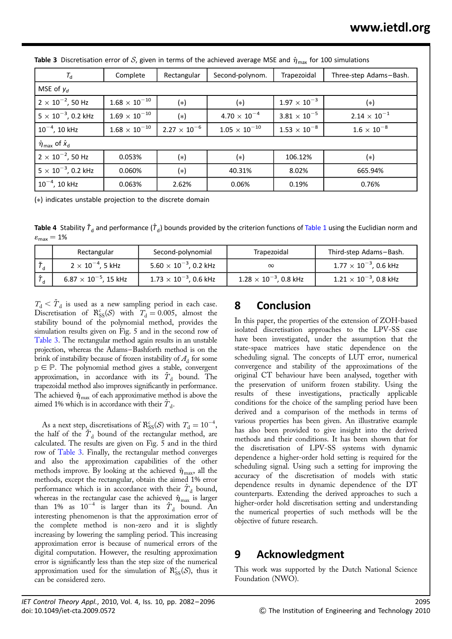| $T_{\rm d}$                                                     | Complete             | Rectangular           | Second-polynom.       | Trapezoidal           | Three-step Adams-Bash. |  |
|-----------------------------------------------------------------|----------------------|-----------------------|-----------------------|-----------------------|------------------------|--|
| MSE of $y_d$                                                    |                      |                       |                       |                       |                        |  |
| $2 \times 10^{-2}$ , 50 Hz                                      | $1.68\times10^{-10}$ | (*)                   | (*)                   | $1.97 \times 10^{-3}$ | (*)                    |  |
| $5 \times 10^{-3}$ , 0.2 kHz                                    | $1.69\times10^{-10}$ | $(*)$                 | $4.70 \times 10^{-4}$ | $3.81\times10^{-5}$   | $2.14 \times 10^{-1}$  |  |
| $10^{-4}$ , 10 kHz                                              | $1.68\times10^{-10}$ | $2.27 \times 10^{-6}$ | $1.05\times10^{-10}$  | $1.53\times10^{-8}$   | $1.6\times10^{-8}$     |  |
| $\hat{\pmb{\eta}}_{\mathsf{max}}$ of $\hat{\pmb{x}}_\mathsf{d}$ |                      |                       |                       |                       |                        |  |
| $2 \times 10^{-2}$ , 50 Hz                                      | 0.053%               | (*)                   | (*)                   | 106.12%               | (*)                    |  |
| $5 \times 10^{-3}$ , 0.2 kHz                                    | 0.060%               | $(*)$                 | 40.31%                | 8.02%                 | 665.94%                |  |
| $10^{-4}$ , 10 kHz                                              | 0.063%               | 2.62%                 | 0.06%                 | 0.19%                 | 0.76%                  |  |

**Table 3** Discretisation error of S, given in terms of the achieved average MSE and  $\hat{\eta}_{\text{max}}$  for 100 simulations

(∗) indicates unstable projection to the discrete domain

**Table 4** Stability  $\check{\mathcal{T}}_d$  and performance ( $\hat{\mathcal{T}}_d$ ) bounds provided by the criterion functions of Table 1 using the Euclidian norm and  $\varepsilon_{\text{max}} = 1\%$ 

| Rectangular                    | Second-polynomial               | Trapezoidal                     | Third-step Adams-Bash.          |
|--------------------------------|---------------------------------|---------------------------------|---------------------------------|
| $2 \times 10^{-4}$ , 5 kHz     | $5.60 \times 10^{-3}$ , 0.2 kHz | $\infty$                        | $1.77\times10^{-3}$ , 0.6 kHz   |
| $6.87 \times 10^{-5}$ , 15 kHz | $1.73\times10^{-3}$ , 0.6 kHz   | $1.28 \times 10^{-3}$ , 0.8 kHz | $1.21 \times 10^{-3}$ , 0.8 kHz |

 $T_d < T_d$  is used as a new sampling period in each case. Discretisation of  $\mathcal{R}_{SS}^c(\mathcal{S})$  with  $T_d = 0.005$ , almost the stability bound of the polynomial method, provides the simulation results given on Fig. 5 and in the second row of Table 3. The rectangular method again results in an unstable projection, whereas the Adams–Bashforth method is on the brink of instability because of frozen instability of  $A_d$  for some  $p \in P$ . The polynomial method gives a stable, convergent approximation, in accordance with its  $\check{T}_d$  bound. The trapezoidal method also improves significantly in performance. The achieved  $\hat{\eta}_{\text{max}}$  of each approximative method is above the aimed 1% which is in accordance with their  $T_d$ .

As a next step, discretisations of  $\mathcal{R}_{SS}^c(\mathcal{S})$  with  $T_d = 10^{-4}$ , the half of the  $T<sub>d</sub>$  bound of the rectangular method, are calculated. The results are given on Fig. 5 and in the third row of Table 3. Finally, the rectangular method converges and also the approximation capabilities of the other methods improve. By looking at the achieved  $\hat{\eta}_{\text{max}}$ , all the methods, except the rectangular, obtain the aimed 1% error performance which is in accordance with their  $T<sub>d</sub>$  bound, whereas in the rectangular case the achieved  $\hat{\pmb{\eta}}_{\textrm{max}}$  is larger than 1% as  $10^{-4}$  is larger than its  $\hat{T}_d$  bound. An interesting phenomenon is that the approximation error of the complete method is non-zero and it is slightly increasing by lowering the sampling period. This increasing approximation error is because of numerical errors of the digital computation. However, the resulting approximation error is significantly less than the step size of the numerical approximation used for the simulation of  $\mathcal{R}_{SS}^c(\mathcal{S})$ , thus it can be considered zero.

# 8 Conclusion

In this paper, the properties of the extension of ZOH-based isolated discretisation approaches to the LPV-SS case have been investigated, under the assumption that the state-space matrices have static dependence on the scheduling signal. The concepts of LUT error, numerical convergence and stability of the approximations of the original CT behaviour have been analysed, together with the preservation of uniform frozen stability. Using the results of these investigations, practically applicable conditions for the choice of the sampling period have been derived and a comparison of the methods in terms of various properties has been given. An illustrative example has also been provided to give insight into the derived methods and their conditions. It has been shown that for the discretisation of LPV-SS systems with dynamic dependence a higher-order hold setting is required for the scheduling signal. Using such a setting for improving the accuracy of the discretisation of models with static dependence results in dynamic dependence of the DT counterparts. Extending the derived approaches to such a higher-order hold discretisation setting and understanding the numerical properties of such methods will be the objective of future research.

# 9 Acknowledgment

This work was supported by the Dutch National Science Foundation (NWO).